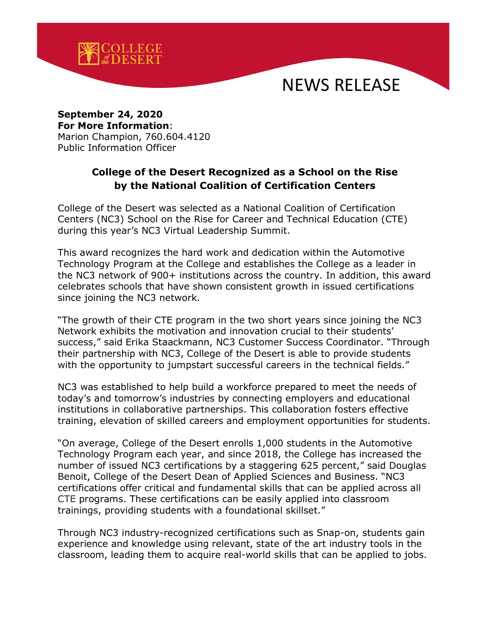

## NEWS RELEASE

## **September 24, 2020 For More Information**: Marion Champion, 760.604.4120 Public Information Officer

## **College of the Desert Recognized as a School on the Rise by the National Coalition of Certification Centers**

College of the Desert was selected as a National Coalition of Certification Centers (NC3) School on the Rise for Career and Technical Education (CTE) during this year's NC3 Virtual Leadership Summit.

This award recognizes the hard work and dedication within the Automotive Technology Program at the College and establishes the College as a leader in the NC3 network of 900+ institutions across the country. In addition, this award celebrates schools that have shown consistent growth in issued certifications since joining the NC3 network.

"The growth of their CTE program in the two short years since joining the NC3 Network exhibits the motivation and innovation crucial to their students' success," said Erika Staackmann, NC3 Customer Success Coordinator. "Through their partnership with NC3, College of the Desert is able to provide students with the opportunity to jumpstart successful careers in the technical fields."

NC3 was established to help build a workforce prepared to meet the needs of today's and tomorrow's industries by connecting employers and educational institutions in collaborative partnerships. This collaboration fosters effective training, elevation of skilled careers and employment opportunities for students.

"On average, College of the Desert enrolls 1,000 students in the Automotive Technology Program each year, and since 2018, the College has increased the number of issued NC3 certifications by a staggering 625 percent," said Douglas Benoit, College of the Desert Dean of Applied Sciences and Business. "NC3 certifications offer critical and fundamental skills that can be applied across all CTE programs. These certifications can be easily applied into classroom trainings, providing students with a foundational skillset."

Through NC3 industry-recognized certifications such as Snap-on, students gain experience and knowledge using relevant, state of the art industry tools in the classroom, leading them to acquire real-world skills that can be applied to jobs.